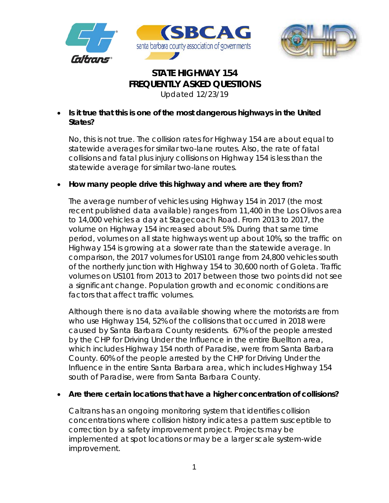



# **STATE HIGHWAY 154 FREQUENTLY ASKED QUESTIONS**

*Updated 12/23/19*

• **Is it true that this is one of the most dangerous highways in the United States?**

No, this is not true. The collision rates for Highway 154 are about equal to statewide averages for similar two-lane routes. Also, the rate of fatal collisions and fatal plus injury collisions on Highway 154 is less than the statewide average for similar two-lane routes.

# • **How many people drive this highway and where are they from?**

The average number of vehicles using Highway 154 in 2017 (the most recent published data available) ranges from 11,400 in the Los Olivos area to 14,000 vehicles a day at Stagecoach Road. From 2013 to 2017, the volume on Highway 154 increased about 5%. During that same time period, volumes on all state highways went up about 10%, so the traffic on Highway 154 is growing at a slower rate than the statewide average. In comparison, the 2017 volumes for US101 range from 24,800 vehicles south of the northerly junction with Highway 154 to 30,600 north of Goleta. Traffic volumes on US101 from 2013 to 2017 between those two points did not see a significant change. Population growth and economic conditions are factors that affect traffic volumes.

Although there is no data available showing where the motorists are from who use Highway 154, 52% of the collisions that occurred in 2018 were caused by Santa Barbara County residents. 67% of the people arrested by the CHP for Driving Under the Influence in the entire Buellton area, which includes Highway 154 north of Paradise, were from Santa Barbara County. 60% of the people arrested by the CHP for Driving Under the Influence in the entire Santa Barbara area, which includes Highway 154 south of Paradise, were from Santa Barbara County.

# • **Are there certain locations that have a higher concentration of collisions?**

Caltrans has an ongoing monitoring system that identifies collision concentrations where collision history indicates a pattern susceptible to correction by a safety improvement project. Projects may be implemented at spot locations or may be a larger scale system-wide improvement.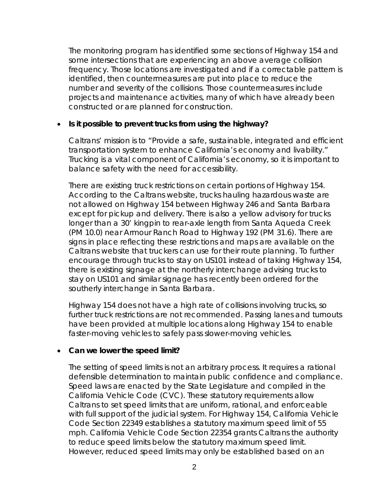The monitoring program has identified some sections of Highway 154 and some intersections that are experiencing an above average collision frequency. Those locations are investigated and if a correctable pattern is identified, then countermeasures are put into place to reduce the number and severity of the collisions. Those countermeasures include projects and maintenance activities, many of which have already been constructed or are planned for construction.

#### • **Is it possible to prevent trucks from using the highway?**

Caltrans' mission is to "Provide a safe, sustainable, integrated and efficient transportation system to enhance California's economy and livability." Trucking is a vital component of California's economy, so it is important to balance safety with the need for accessibility.

There are existing truck restrictions on certain portions of Highway 154. According to the Caltrans website, trucks hauling hazardous waste are not allowed on Highway 154 between Highway 246 and Santa Barbara except for pickup and delivery. There is also a yellow advisory for trucks longer than a 30' kingpin to rear-axle length from Santa Aqueda Creek (PM 10.0) near Armour Ranch Road to Highway 192 (PM 31.6). There are signs in place reflecting these restrictions and maps are available on the Caltrans website that truckers can use for their route planning. To further encourage through trucks to stay on US101 instead of taking Highway 154, there is existing signage at the northerly interchange advising trucks to stay on US101 and similar signage has recently been ordered for the southerly interchange in Santa Barbara.

Highway 154 does not have a high rate of collisions involving trucks, so further truck restrictions are not recommended. Passing lanes and turnouts have been provided at multiple locations along Highway 154 to enable faster-moving vehicles to safely pass slower-moving vehicles.

### • **Can we lower the speed limit?**

The setting of speed limits is not an arbitrary process. It requires a rational defensible determination to maintain public confidence and compliance. Speed laws are enacted by the State Legislature and compiled in the California Vehicle Code (CVC). These statutory requirements allow Caltrans to set speed limits that are uniform, rational, and enforceable with full support of the judicial system. For Highway 154, California Vehicle Code Section 22349 establishes a statutory maximum speed limit of 55 mph. California Vehicle Code Section 22354 grants Caltrans the authority to reduce speed limits below the statutory maximum speed limit. However, reduced speed limits may only be established based on an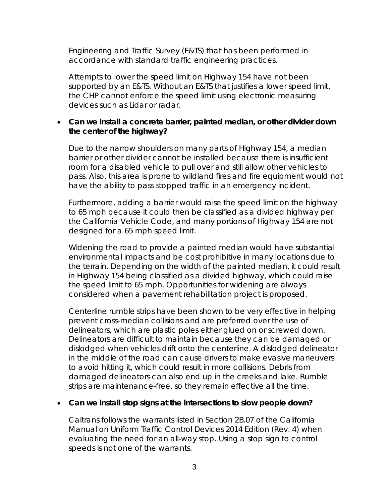Engineering and Traffic Survey (E&TS) that has been performed in accordance with standard traffic engineering practices.

Attempts to lower the speed limit on Highway 154 have not been supported by an E&TS. Without an E&TS that justifies a lower speed limit, the CHP cannot enforce the speed limit using electronic measuring devices such as Lidar or radar.

### • **Can we install a concrete barrier, painted median, or other divider down the center of the highway?**

Due to the narrow shoulders on many parts of Highway 154, a median barrier or other divider cannot be installed because there is insufficient room for a disabled vehicle to pull over and still allow other vehicles to pass. Also, this area is prone to wildland fires and fire equipment would not have the ability to pass stopped traffic in an emergency incident.

Furthermore, adding a barrier would raise the speed limit on the highway to 65 mph because it could then be classified as a divided highway per the California Vehicle Code, and many portions of Highway 154 are not designed for a 65 mph speed limit.

Widening the road to provide a painted median would have substantial environmental impacts and be cost prohibitive in many locations due to the terrain. Depending on the width of the painted median, it could result in Highway 154 being classified as a divided highway, which could raise the speed limit to 65 mph. Opportunities for widening are always considered when a pavement rehabilitation project is proposed.

Centerline rumble strips have been shown to be very effective in helping prevent cross-median collisions and are preferred over the use of delineators, which are plastic poles either glued on or screwed down. Delineators are difficult to maintain because they can be damaged or dislodged when vehicles drift onto the centerline. A dislodged delineator in the middle of the road can cause drivers to make evasive maneuvers to avoid hitting it, which could result in more collisions. Debris from damaged delineators can also end up in the creeks and lake. Rumble strips are maintenance-free, so they remain effective all the time.

#### • **Can we install stop signs at the intersections to slow people down?**

Caltrans follows the warrants listed in Section 2B.07 of the California Manual on Uniform Traffic Control Devices 2014 Edition (Rev. 4) when evaluating the need for an all-way stop. Using a stop sign to control speeds is not one of the warrants.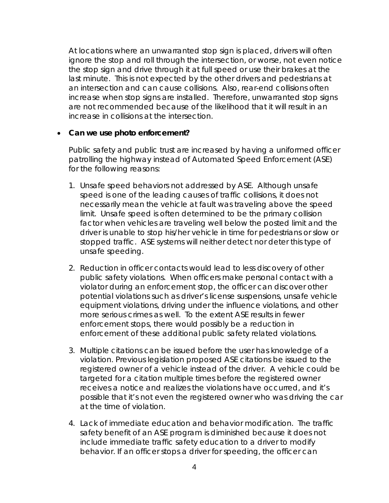At locations where an unwarranted stop sign is placed, drivers will often ignore the stop and roll through the intersection, or worse, not even notice the stop sign and drive through it at full speed or use their brakes at the last minute. This is not expected by the other drivers and pedestrians at an intersection and can cause collisions. Also, rear-end collisions often increase when stop signs are installed. Therefore, unwarranted stop signs are not recommended because of the likelihood that it will result in an increase in collisions at the intersection.

### • **Can we use photo enforcement?**

Public safety and public trust are increased by having a uniformed officer patrolling the highway instead of Automated Speed Enforcement (ASE) for the following reasons:

- 1. *Unsafe speed behaviors not addressed by ASE.* Although unsafe speed is one of the leading causes of traffic collisions, it does not necessarily mean the vehicle at fault was traveling above the speed limit. Unsafe speed is often determined to be the primary collision factor when vehicles are traveling well below the posted limit and the driver is unable to stop his/her vehicle in time for pedestrians or slow or stopped traffic. ASE systems will neither detect nor deter this type of unsafe speeding.
- 2. *Reduction in officer contacts would lead to less discovery of other public safety violations.* When officers make personal contact with a violator during an enforcement stop, the officer can discover other potential violations such as driver's license suspensions, unsafe vehicle equipment violations, driving under the influence violations, and other more serious crimes as well. To the extent ASE results in fewer enforcement stops, there would possibly be a reduction in enforcement of these additional public safety related violations.
- 3. *Multiple citations can be issued before the user has knowledge of a violation.* Previous legislation proposed ASE citations be issued to the registered owner of a vehicle instead of the driver. A vehicle could be targeted for a citation multiple times before the registered owner receives a notice and realizes the violations have occurred, and it's possible that it's not even the registered owner who was driving the car at the time of violation.
- 4. *Lack of immediate education and behavior modification.* The traffic safety benefit of an ASE program is diminished because it does not include immediate traffic safety education to a driver to modify behavior. If an officer stops a driver for speeding, the officer can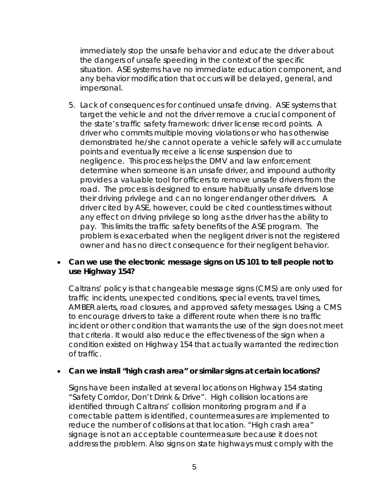immediately stop the unsafe behavior and educate the driver about the dangers of unsafe speeding in the context of the specific situation. ASE systems have no immediate education component, and any behavior modification that occurs will be delayed, general, and impersonal.

5. *Lack of consequences for continued unsafe driving.* ASE systems that target the vehicle and not the driver remove a crucial component of the state's traffic safety framework: driver license record points. A driver who commits multiple moving violations or who has otherwise demonstrated he/she cannot operate a vehicle safely will accumulate points and eventually receive a license suspension due to negligence. This process helps the DMV and law enforcement determine when someone is an unsafe driver, and impound authority provides a valuable tool for officers to remove unsafe drivers from the road. The process is designed to ensure habitually unsafe drivers lose their driving privilege and can no longer endanger other drivers. A driver cited by ASE, however, could be cited countless times without any effect on driving privilege so long as the driver has the ability to pay. This limits the traffic safety benefits of the ASE program. The problem is exacerbated when the negligent driver is not the registered owner and has no direct consequence for their negligent behavior.

### • **Can we use the electronic message signs on US 101 to tell people not to use Highway 154?**

Caltrans' policy is that changeable message signs (CMS) are only used for traffic incidents, unexpected conditions, special events, travel times, AMBER alerts, road closures, and approved safety messages. Using a CMS to encourage drivers to take a different route when there is no traffic incident or other condition that warrants the use of the sign does not meet that criteria. It would also reduce the effectiveness of the sign when a condition existed on Highway 154 that actually warranted the redirection of traffic.

### • **Can we install "high crash area" or similar signs at certain locations?**

Signs have been installed at several locations on Highway 154 stating "Safety Corridor, Don't Drink & Drive". High collision locations are identified through Caltrans' collision monitoring program and if a correctable pattern is identified, countermeasures are implemented to reduce the number of collisions at that location. "High crash area" signage is not an acceptable countermeasure because it does not address the problem. Also signs on state highways must comply with the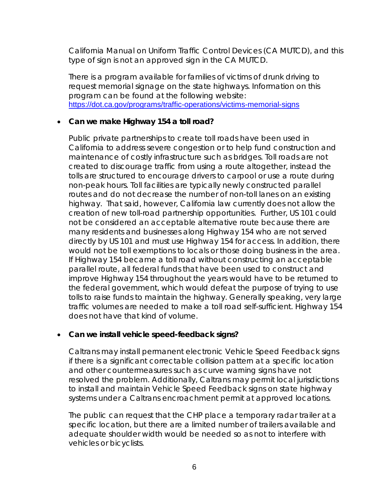California Manual on Uniform Traffic Control Devices (CA MUTCD), and this type of sign is not an approved sign in the CA MUTCD.

There is a program available for families of victims of drunk driving to request memorial signage on the state highways. Information on this program can be found at the following website: <https://dot.ca.gov/programs/traffic-operations/victims-memorial-signs>

### • **Can we make Highway 154 a toll road?**

Public private partnerships to create toll roads have been used in California to address severe congestion or to help fund construction and maintenance of costly infrastructure such as bridges. Toll roads are not created to discourage traffic from using a route altogether, instead the tolls are structured to encourage drivers to carpool or use a route during non-peak hours. Toll facilities are typically newly constructed parallel routes and do not decrease the number of non-toll lanes on an existing highway. That said, however, California law currently does not allow the creation of new toll-road partnership opportunities. Further, US 101 could not be considered an acceptable alternative route because there are many residents and businesses along Highway 154 who are not served directly by US 101 and must use Highway 154 for access. In addition, there would not be toll exemptions to locals or those doing business in the area. If Highway 154 became a toll road without constructing an acceptable parallel route, all federal funds that have been used to construct and improve Highway 154 throughout the years would have to be returned to the federal government, which would defeat the purpose of trying to use tolls to raise funds to maintain the highway. Generally speaking, very large traffic volumes are needed to make a toll road self-sufficient. Highway 154 does not have that kind of volume.

# • **Can we install vehicle speed-feedback signs?**

Caltrans may install permanent electronic Vehicle Speed Feedback signs if there is a significant correctable collision pattern at a specific location and other countermeasures such as curve warning signs have not resolved the problem. Additionally, Caltrans may permit local jurisdictions to install and maintain Vehicle Speed Feedback signs on state highway systems under a Caltrans encroachment permit at approved locations.

The public can request that the CHP place a temporary radar trailer at a specific location, but there are a limited number of trailers available and adequate shoulder width would be needed so as not to interfere with vehicles or bicyclists.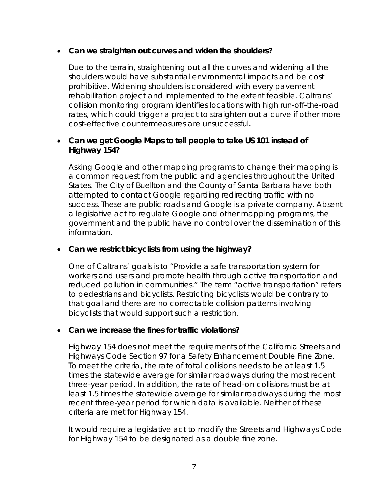### • **Can we straighten out curves and widen the shoulders?**

Due to the terrain, straightening out all the curves and widening all the shoulders would have substantial environmental impacts and be cost prohibitive. Widening shoulders is considered with every pavement rehabilitation project and implemented to the extent feasible. Caltrans' collision monitoring program identifies locations with high run-off-the-road rates, which could trigger a project to straighten out a curve if other more cost-effective countermeasures are unsuccessful.

### • **Can we get Google Maps to tell people to take US 101 instead of Highway 154?**

Asking Google and other mapping programs to change their mapping is a common request from the public and agencies throughout the United States. The City of Buellton and the County of Santa Barbara have both attempted to contact Google regarding redirecting traffic with no success. These are public roads and Google is a private company. Absent a legislative act to regulate Google and other mapping programs, the government and the public have no control over the dissemination of this information.

### • **Can we restrict bicyclists from using the highway?**

One of Caltrans' goals is to "Provide a safe transportation system for workers and users and promote health through active transportation and reduced pollution in communities." The term "active transportation" refers to pedestrians and bicyclists. Restricting bicyclists would be contrary to that goal and there are no correctable collision patterns involving bicyclists that would support such a restriction.

### • **Can we increase the fines for traffic violations?**

Highway 154 does not meet the requirements of the California Streets and Highways Code Section 97 for a Safety Enhancement Double Fine Zone. To meet the criteria, the rate of total collisions needs to be at least 1.5 times the statewide average for similar roadways during the most recent three-year period. In addition, the rate of head-on collisions must be at least 1.5 times the statewide average for similar roadways during the most recent three-year period for which data is available. Neither of these criteria are met for Highway 154.

It would require a legislative act to modify the Streets and Highways Code for Highway 154 to be designated as a double fine zone.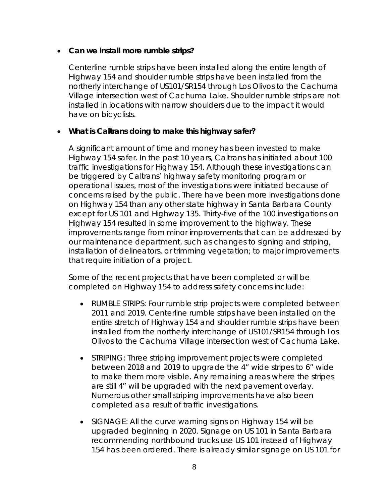### • **Can we install more rumble strips?**

Centerline rumble strips have been installed along the entire length of Highway 154 and shoulder rumble strips have been installed from the northerly interchange of US101/SR154 through Los Olivos to the Cachuma Village intersection west of Cachuma Lake. Shoulder rumble strips are not installed in locations with narrow shoulders due to the impact it would have on bicyclists.

### • **What is Caltrans doing to make this highway safer?**

A significant amount of time and money has been invested to make Highway 154 safer. In the past 10 years, Caltrans has initiated about 100 traffic investigations for Highway 154. Although these investigations can be triggered by Caltrans' highway safety monitoring program or operational issues, most of the investigations were initiated because of concerns raised by the public. There have been more investigations done on Highway 154 than any other state highway in Santa Barbara County except for US 101 and Highway 135. Thirty-five of the 100 investigations on Highway 154 resulted in some improvement to the highway. These improvements range from minor improvements that can be addressed by our maintenance department, such as changes to signing and striping, installation of delineators, or trimming vegetation; to major improvements that require initiation of a project.

Some of the recent projects that have been completed or will be completed on Highway 154 to address safety concerns include:

- RUMBLE STRIPS: Four rumble strip projects were completed between 2011 and 2019. Centerline rumble strips have been installed on the entire stretch of Highway 154 and shoulder rumble strips have been installed from the northerly interchange of US101/SR154 through Los Olivos to the Cachuma Village intersection west of Cachuma Lake.
- STRIPING: Three striping improvement projects were completed between 2018 and 2019 to upgrade the 4" wide stripes to 6" wide to make them more visible. Any remaining areas where the stripes are still 4" will be upgraded with the next pavement overlay. Numerous other small striping improvements have also been completed as a result of traffic investigations.
- SIGNAGE: All the curve warning signs on Highway 154 will be upgraded beginning in 2020. Signage on US 101 in Santa Barbara recommending northbound trucks use US 101 instead of Highway 154 has been ordered. There is already similar signage on US 101 for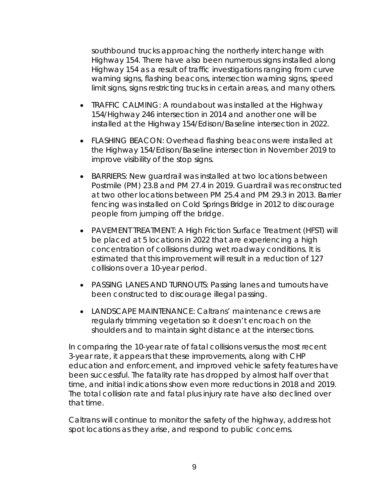southbound trucks approaching the northerly interchange with Highway 154. There have also been numerous signs installed along Highway 154 as a result of traffic investigations ranging from curve warning signs, flashing beacons, intersection warning signs, speed limit signs, signs restricting trucks in certain areas, and many others.

- TRAFFIC CALMING: A roundabout was installed at the Highway 154/Highway 246 intersection in 2014 and another one will be installed at the Highway 154/Edison/Baseline intersection in 2022.
- FLASHING BEACON: Overhead flashing beacons were installed at the Highway 154/Edison/Baseline intersection in November 2019 to improve visibility of the stop signs.
- BARRIERS: New guardrail was installed at two locations between Postmile (PM) 23.8 and PM 27.4 in 2019. Guardrail was reconstructed at two other locations between PM 25.4 and PM 29.3 in 2013. Barrier fencing was installed on Cold Springs Bridge in 2012 to discourage people from jumping off the bridge.
- PAVEMENT TREATMENT: A High Friction Surface Treatment (HFST) will be placed at 5 locations in 2022 that are experiencing a high concentration of collisions during wet roadway conditions. It is estimated that this improvement will result in a reduction of 127 collisions over a 10-year period.
- PASSING LANES AND TURNOUTS: Passing lanes and turnouts have been constructed to discourage illegal passing.
- LANDSCAPE MAINTENANCE: Caltrans' maintenance crews are regularly trimming vegetation so it doesn't encroach on the shoulders and to maintain sight distance at the intersections.

In comparing the 10-year rate of fatal collisions versus the most recent 3-year rate, it appears that these improvements, along with CHP education and enforcement, and improved vehicle safety features have been successful. The fatality rate has dropped by almost half over that time, and initial indications show even more reductions in 2018 and 2019. The total collision rate and fatal plus injury rate have also declined over that time.

Caltrans will continue to monitor the safety of the highway, address hot spot locations as they arise, and respond to public concerns.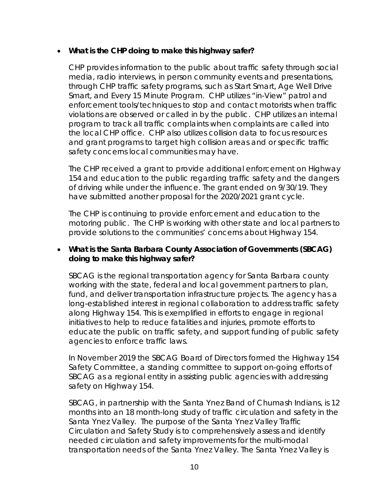### • **What is the CHP doing to make this highway safer?**

CHP provides information to the public about traffic safety through social media, radio interviews, in person community events and presentations, through CHP traffic safety programs, such as Start Smart, Age Well Drive Smart, and Every 15 Minute Program. CHP utilizes "in-View" patrol and enforcement tools/techniques to stop and contact motorists when traffic violations are observed or called in by the public. CHP utilizes an internal program to track all traffic complaints when complaints are called into the local CHP office. CHP also utilizes collision data to focus resources and grant programs to target high collision areas and or specific traffic safety concerns local communities may have.

The CHP received a grant to provide additional enforcement on Highway 154 and education to the public regarding traffic safety and the dangers of driving while under the influence. The grant ended on 9/30/19. They have submitted another proposal for the 2020/2021 grant cycle.

The CHP is continuing to provide enforcement and education to the motoring public. The CHP is working with other state and local partners to provide solutions to the communities' concerns about Highway 154.

### • **What is the Santa Barbara County Association of Governments (SBCAG) doing to make this highway safer?**

SBCAG is the regional transportation agency for Santa Barbara county working with the state, federal and local government partners to plan, fund, and deliver transportation infrastructure projects. The agency has a long-established interest in regional collaboration to address traffic safety along Highway 154. This is exemplified in efforts to engage in regional initiatives to help to reduce fatalities and injuries, promote efforts to educate the public on traffic safety, and support funding of public safety agencies to enforce traffic laws.

In November 2019 the SBCAG Board of Directors formed the Highway 154 Safety Committee, a standing committee to support on-going efforts of SBCAG as a regional entity in assisting public agencies with addressing safety on Highway 154.

SBCAG, in partnership with the Santa Ynez Band of Chumash Indians, is 12 months into an 18 month-long study of traffic circulation and safety in the Santa Ynez Valley. The purpose of the Santa Ynez Valley Traffic Circulation and Safety Study is to comprehensively assess and identify needed circulation and safety improvements for the multi-modal transportation needs of the Santa Ynez Valley. The Santa Ynez Valley is